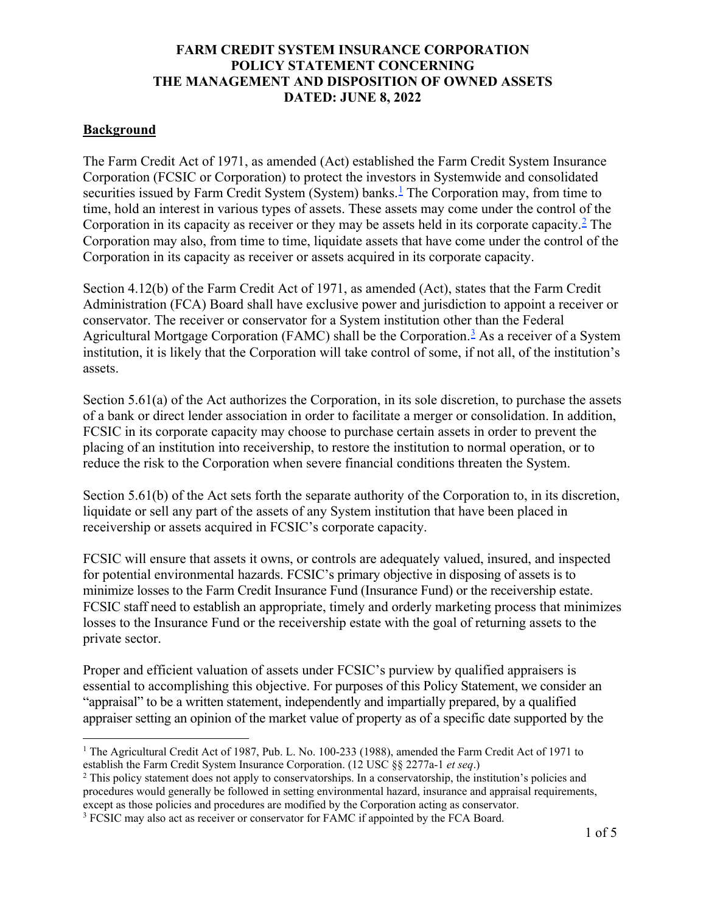# **FARM CREDIT SYSTEM INSURANCE CORPORATION POLICY STATEMENT CONCERNING THE MANAGEMENT AND DISPOSITION OF OWNED ASSETS DATED: JUNE 8, 2022**

## **Background**

The Farm Credit Act of 1971, as amended (Act) established the Farm Credit System Insurance Corporation (FCSIC or Corporation) to protect the investors in Systemwide and consolidated securities issued by Farm Credit System (System) banks.<sup>[1](#page-0-0)</sup> The Corporation may, from time to time, hold an interest in various types of assets. These assets may come under the control of the Corporation in its capacity as receiver or they may be assets held in its corporate capacity.<sup>[2](#page-0-1)</sup> The Corporation may also, from time to time, liquidate assets that have come under the control of the Corporation in its capacity as receiver or assets acquired in its corporate capacity.

Section 4.12(b) of the Farm Credit Act of 1971, as amended (Act), states that the Farm Credit Administration (FCA) Board shall have exclusive power and jurisdiction to appoint a receiver or conservator. The receiver or conservator for a System institution other than the Federal Agricultural Mortgage Corporation (FAMC) shall be the Corporation.<sup>[3](#page-0-2)</sup> As a receiver of a System institution, it is likely that the Corporation will take control of some, if not all, of the institution's assets.

Section 5.61(a) of the Act authorizes the Corporation, in its sole discretion, to purchase the assets of a bank or direct lender association in order to facilitate a merger or consolidation. In addition, FCSIC in its corporate capacity may choose to purchase certain assets in order to prevent the placing of an institution into receivership, to restore the institution to normal operation, or to reduce the risk to the Corporation when severe financial conditions threaten the System.

Section 5.61(b) of the Act sets forth the separate authority of the Corporation to, in its discretion, liquidate or sell any part of the assets of any System institution that have been placed in receivership or assets acquired in FCSIC's corporate capacity.

FCSIC will ensure that assets it owns, or controls are adequately valued, insured, and inspected for potential environmental hazards. FCSIC's primary objective in disposing of assets is to minimize losses to the Farm Credit Insurance Fund (Insurance Fund) or the receivership estate. FCSIC staff need to establish an appropriate, timely and orderly marketing process that minimizes losses to the Insurance Fund or the receivership estate with the goal of returning assets to the private sector.

Proper and efficient valuation of assets under FCSIC's purview by qualified appraisers is essential to accomplishing this objective. For purposes of this Policy Statement, we consider an "appraisal" to be a written statement, independently and impartially prepared, by a qualified appraiser setting an opinion of the market value of property as of a specific date supported by the

<span id="page-0-0"></span><sup>&</sup>lt;sup>1</sup> The Agricultural Credit Act of 1987, Pub. L. No. 100-233 (1988), amended the Farm Credit Act of 1971 to establish the Farm Credit System Insurance Corporation. (12 USC §§ 2277a-1 *et seq*.)

<span id="page-0-1"></span><sup>&</sup>lt;sup>2</sup> This policy statement does not apply to conservatorships. In a conservatorship, the institution's policies and procedures would generally be followed in setting environmental hazard, insurance and appraisal requirements, except as those policies and procedures are modified by the Corporation acting as conservator.

<span id="page-0-2"></span><sup>&</sup>lt;sup>3</sup> FCSIC may also act as receiver or conservator for FAMC if appointed by the FCA Board.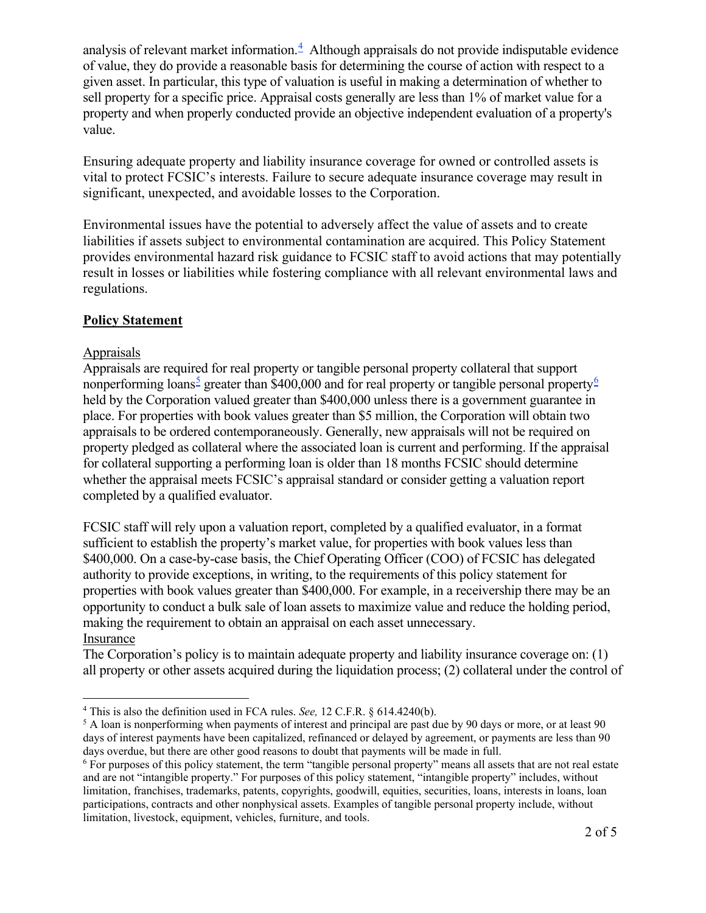analysis of relevant market information. [4](#page-1-0) Although appraisals do not provide indisputable evidence of value, they do provide a reasonable basis for determining the course of action with respect to a given asset. In particular, this type of valuation is useful in making a determination of whether to sell property for a specific price. Appraisal costs generally are less than 1% of market value for a property and when properly conducted provide an objective independent evaluation of a property's value.

Ensuring adequate property and liability insurance coverage for owned or controlled assets is vital to protect FCSIC's interests. Failure to secure adequate insurance coverage may result in significant, unexpected, and avoidable losses to the Corporation.

Environmental issues have the potential to adversely affect the value of assets and to create liabilities if assets subject to environmental contamination are acquired. This Policy Statement provides environmental hazard risk guidance to FCSIC staff to avoid actions that may potentially result in losses or liabilities while fostering compliance with all relevant environmental laws and regulations.

## **Policy Statement**

## Appraisals

Appraisals are required for real property or tangible personal property collateral that support nonperforming loans<sup>[5](#page-1-1)</sup> greater than \$400,000 and for real property or tangible personal property<sup>[6](#page-1-2)</sup> held by the Corporation valued greater than \$400,000 unless there is a government guarantee in place. For properties with book values greater than \$5 million, the Corporation will obtain two appraisals to be ordered contemporaneously. Generally, new appraisals will not be required on property pledged as collateral where the associated loan is current and performing. If the appraisal for collateral supporting a performing loan is older than 18 months FCSIC should determine whether the appraisal meets FCSIC's appraisal standard or consider getting a valuation report completed by a qualified evaluator.

FCSIC staff will rely upon a valuation report, completed by a qualified evaluator, in a format sufficient to establish the property's market value, for properties with book values less than \$400,000. On a case-by-case basis, the Chief Operating Officer (COO) of FCSIC has delegated authority to provide exceptions, in writing, to the requirements of this policy statement for properties with book values greater than \$400,000. For example, in a receivership there may be an opportunity to conduct a bulk sale of loan assets to maximize value and reduce the holding period, making the requirement to obtain an appraisal on each asset unnecessary.

# Insurance

The Corporation's policy is to maintain adequate property and liability insurance coverage on: (1) all property or other assets acquired during the liquidation process; (2) collateral under the control of

<span id="page-1-0"></span><sup>4</sup> This is also the definition used in FCA rules. *See,* 12 C.F.R. § 614.4240(b).

<span id="page-1-1"></span><sup>&</sup>lt;sup>5</sup> A loan is nonperforming when payments of interest and principal are past due by 90 days or more, or at least 90 days of interest payments have been capitalized, refinanced or delayed by agreement, or payments are less than 90 days overdue, but there are other good reasons to doubt that payments will be made in full.

<span id="page-1-2"></span><sup>6</sup> For purposes of this policy statement, the term "tangible personal property" means all assets that are not real estate and are not "intangible property." For purposes of this policy statement, "intangible property" includes, without limitation, franchises, trademarks, patents, copyrights, goodwill, equities, securities, loans, interests in loans, loan participations, contracts and other nonphysical assets. Examples of tangible personal property include, without limitation, livestock, equipment, vehicles, furniture, and tools.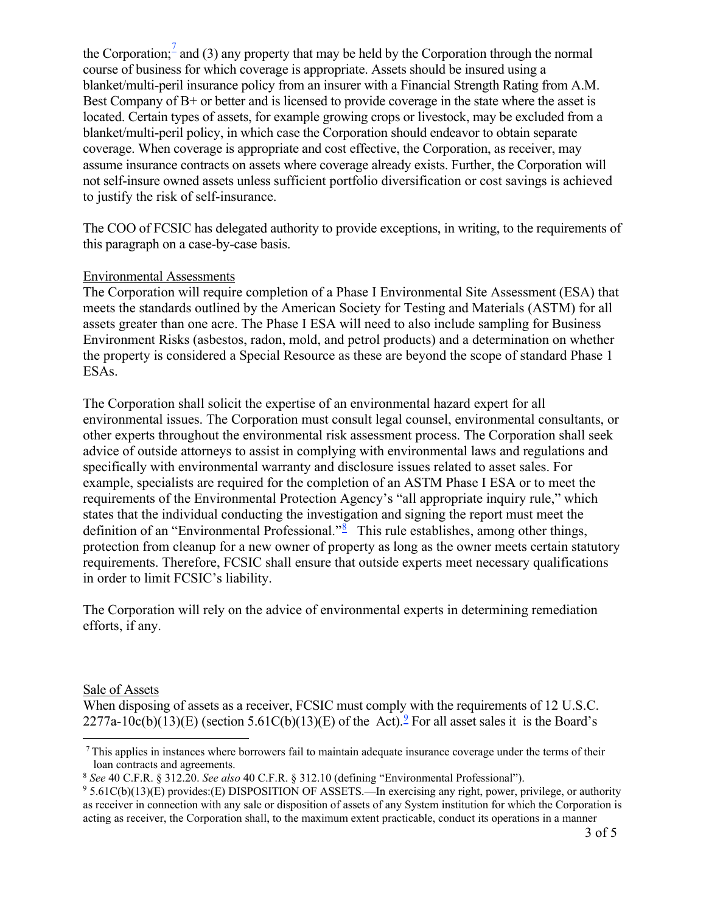the Corporation; and (3) any property that may be held by the Corporation through the normal course of business for which coverage is appropriate. Assets should be insured using a blanket/multi-peril insurance policy from an insurer with a Financial Strength Rating from A.M. Best Company of B+ or better and is licensed to provide coverage in the state where the asset is located. Certain types of assets, for example growing crops or livestock, may be excluded from a blanket/multi-peril policy, in which case the Corporation should endeavor to obtain separate coverage. When coverage is appropriate and cost effective, the Corporation, as receiver, may assume insurance contracts on assets where coverage already exists. Further, the Corporation will not self-insure owned assets unless sufficient portfolio diversification or cost savings is achieved to justify the risk of self-insurance.

The COO of FCSIC has delegated authority to provide exceptions, in writing, to the requirements of this paragraph on a case-by-case basis.

## Environmental Assessments

The Corporation will require completion of a Phase I Environmental Site Assessment (ESA) that meets the standards outlined by the American Society for Testing and Materials (ASTM) for all assets greater than one acre. The Phase I ESA will need to also include sampling for Business Environment Risks (asbestos, radon, mold, and petrol products) and a determination on whether the property is considered a Special Resource as these are beyond the scope of standard Phase 1 ESAs.

The Corporation shall solicit the expertise of an environmental hazard expert for all environmental issues. The Corporation must consult legal counsel, environmental consultants, or other experts throughout the environmental risk assessment process. The Corporation shall seek advice of outside attorneys to assist in complying with environmental laws and regulations and specifically with environmental warranty and disclosure issues related to asset sales. For example, specialists are required for the completion of an ASTM Phase I ESA or to meet the requirements of the Environmental Protection Agency's "all appropriate inquiry rule," which states that the individual conducting the investigation and signing the report must meet the definition of an "Environmental Professional."<sup>[8](#page-2-1)</sup> This rule establishes, among other things, protection from cleanup for a new owner of property as long as the owner meets certain statutory requirements. Therefore, FCSIC shall ensure that outside experts meet necessary qualifications in order to limit FCSIC's liability.

The Corporation will rely on the advice of environmental experts in determining remediation efforts, if any.

#### Sale of Assets

When disposing of assets as a receiver, FCSIC must comply with the requirements of 12 U.S.C. 2277a-10c(b)(13)(E) (section 5.61C(b)(13)(E) of the Act).<sup>[9](#page-2-2)</sup> For all asset sales it is the Board's

 $<sup>7</sup>$ This applies in instances where borrowers fail to maintain adequate insurance coverage under the terms of their</sup>

<span id="page-2-1"></span><span id="page-2-0"></span>loan contracts and agreements.<br><sup>8</sup> See 40 C.F.R. § 312.20. See also 40 C.F.R. § 312.10 (defining "Environmental Professional").

<span id="page-2-2"></span><sup>&</sup>lt;sup>9</sup> 5.61C(b)(13)(E) provides:(E) DISPOSITION OF ASSETS.—In exercising any right, power, privilege, or authority as receiver in connection with any sale or disposition of assets of any System institution for which the Corporation is acting as receiver, the Corporation shall, to the maximum extent practicable, conduct its operations in a manner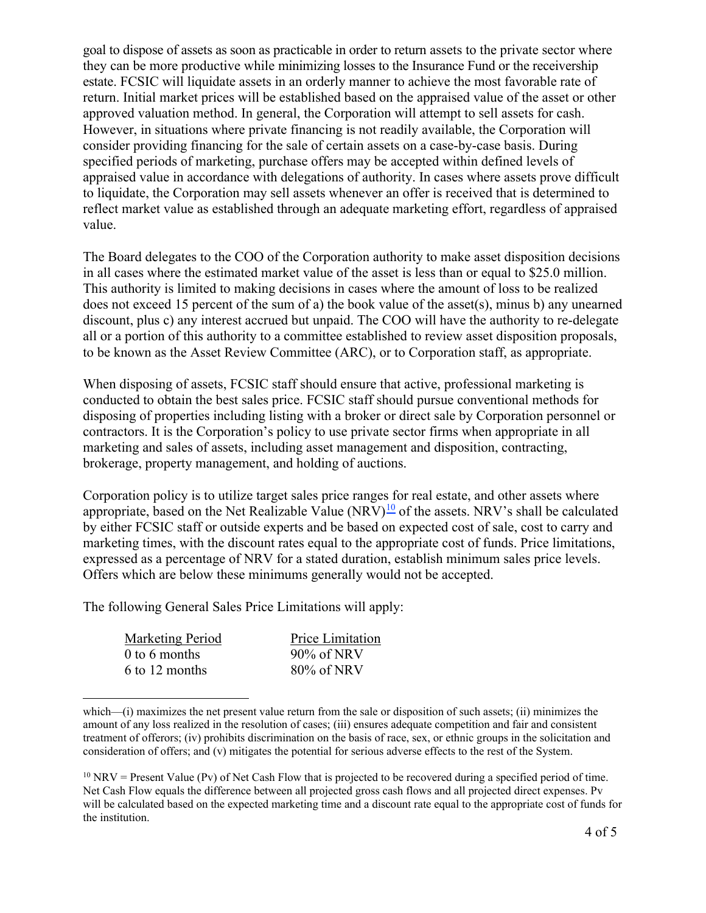goal to dispose of assets as soon as practicable in order to return assets to the private sector where they can be more productive while minimizing losses to the Insurance Fund or the receivership estate. FCSIC will liquidate assets in an orderly manner to achieve the most favorable rate of return. Initial market prices will be established based on the appraised value of the asset or other approved valuation method. In general, the Corporation will attempt to sell assets for cash. However, in situations where private financing is not readily available, the Corporation will consider providing financing for the sale of certain assets on a case-by-case basis. During specified periods of marketing, purchase offers may be accepted within defined levels of appraised value in accordance with delegations of authority. In cases where assets prove difficult to liquidate, the Corporation may sell assets whenever an offer is received that is determined to reflect market value as established through an adequate marketing effort, regardless of appraised value.

The Board delegates to the COO of the Corporation authority to make asset disposition decisions in all cases where the estimated market value of the asset is less than or equal to \$25.0 million. This authority is limited to making decisions in cases where the amount of loss to be realized does not exceed 15 percent of the sum of a) the book value of the asset(s), minus b) any unearned discount, plus c) any interest accrued but unpaid. The COO will have the authority to re-delegate all or a portion of this authority to a committee established to review asset disposition proposals, to be known as the Asset Review Committee (ARC), or to Corporation staff, as appropriate.

When disposing of assets, FCSIC staff should ensure that active, professional marketing is conducted to obtain the best sales price. FCSIC staff should pursue conventional methods for disposing of properties including listing with a broker or direct sale by Corporation personnel or contractors. It is the Corporation's policy to use private sector firms when appropriate in all marketing and sales of assets, including asset management and disposition, contracting, brokerage, property management, and holding of auctions.

Corporation policy is to utilize target sales price ranges for real estate, and other assets where appropriate, based on the Net Realizable Value  $(NRV)^{10}$  $(NRV)^{10}$  $(NRV)^{10}$  of the assets. NRV's shall be calculated by either FCSIC staff or outside experts and be based on expected cost of sale, cost to carry and marketing times, with the discount rates equal to the appropriate cost of funds. Price limitations, expressed as a percentage of NRV for a stated duration, establish minimum sales price levels. Offers which are below these minimums generally would not be accepted.

The following General Sales Price Limitations will apply:

| Marketing Period     | <b>Price Limitation</b> |
|----------------------|-------------------------|
| $\theta$ to 6 months | $90\%$ of NRV           |
| 6 to 12 months       | $80\%$ of NRV           |

which—(i) maximizes the net present value return from the sale or disposition of such assets; (ii) minimizes the amount of any loss realized in the resolution of cases; (iii) ensures adequate competition and fair and consistent treatment of offerors; (iv) prohibits discrimination on the basis of race, sex, or ethnic groups in the solicitation and consideration of offers; and (v) mitigates the potential for serious adverse effects to the rest of the System.

<span id="page-3-0"></span> $10 \text{ NRV}$  = Present Value (Pv) of Net Cash Flow that is projected to be recovered during a specified period of time. Net Cash Flow equals the difference between all projected gross cash flows and all projected direct expenses. Pv will be calculated based on the expected marketing time and a discount rate equal to the appropriate cost of funds for the institution.